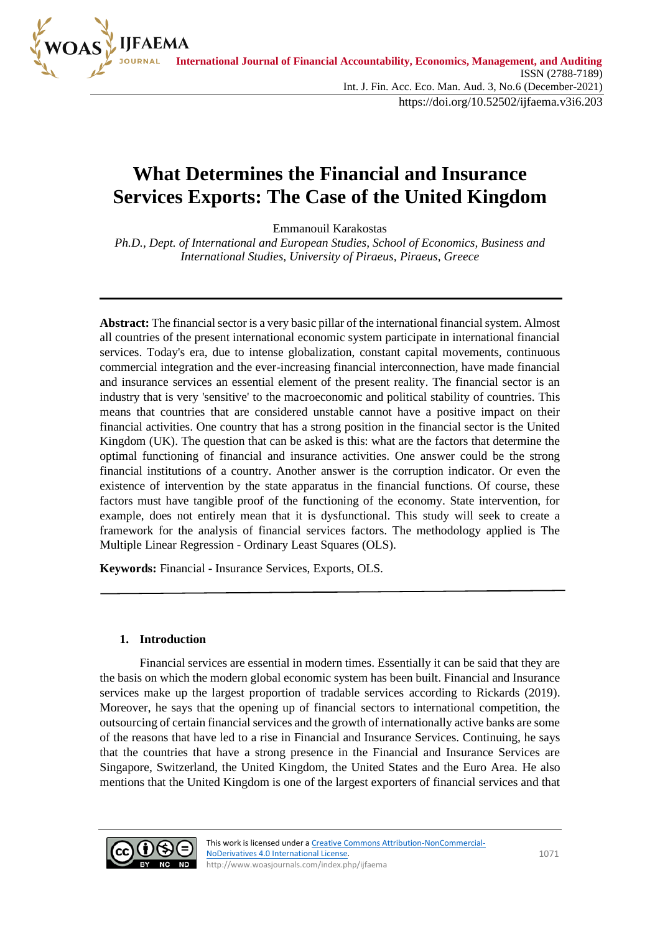

# **What Determines the Financial and Insurance Services Exports: The Case of the United Kingdom**

Emmanouil Karakostas

*Ph.D., Dept. of International and European Studies, School of Economics, Business and International Studies, University of Piraeus, Piraeus, Greece*

**Abstract:** The financial sector is a very basic pillar of the international financial system. Almost all countries of the present international economic system participate in international financial services. Today's era, due to intense globalization, constant capital movements, continuous commercial integration and the ever-increasing financial interconnection, have made financial and insurance services an essential element of the present reality. The financial sector is an industry that is very 'sensitive' to the macroeconomic and political stability of countries. This means that countries that are considered unstable cannot have a positive impact on their financial activities. One country that has a strong position in the financial sector is the United Kingdom (UK). The question that can be asked is this: what are the factors that determine the optimal functioning of financial and insurance activities. One answer could be the strong financial institutions of a country. Another answer is the corruption indicator. Or even the existence of intervention by the state apparatus in the financial functions. Of course, these factors must have tangible proof of the functioning of the economy. State intervention, for example, does not entirely mean that it is dysfunctional. This study will seek to create a framework for the analysis of financial services factors. The methodology applied is The Multiple Linear Regression - Ordinary Least Squares (OLS).

**Keywords:** Financial - Insurance Services, Exports, OLS.

#### **1. Introduction**

Financial services are essential in modern times. Essentially it can be said that they are the basis on which the modern global economic system has been built. Financial and Insurance services make up the largest proportion of tradable services according to Rickards (2019). Moreover, he says that the opening up of financial sectors to international competition, the outsourcing of certain financial services and the growth of internationally active banks are some of the reasons that have led to a rise in Financial and Insurance Services. Continuing, he says that the countries that have a strong presence in the Financial and Insurance Services are Singapore, Switzerland, the United Kingdom, the United States and the Euro Area. He also mentions that the United Kingdom is one of the largest exporters of financial services and that

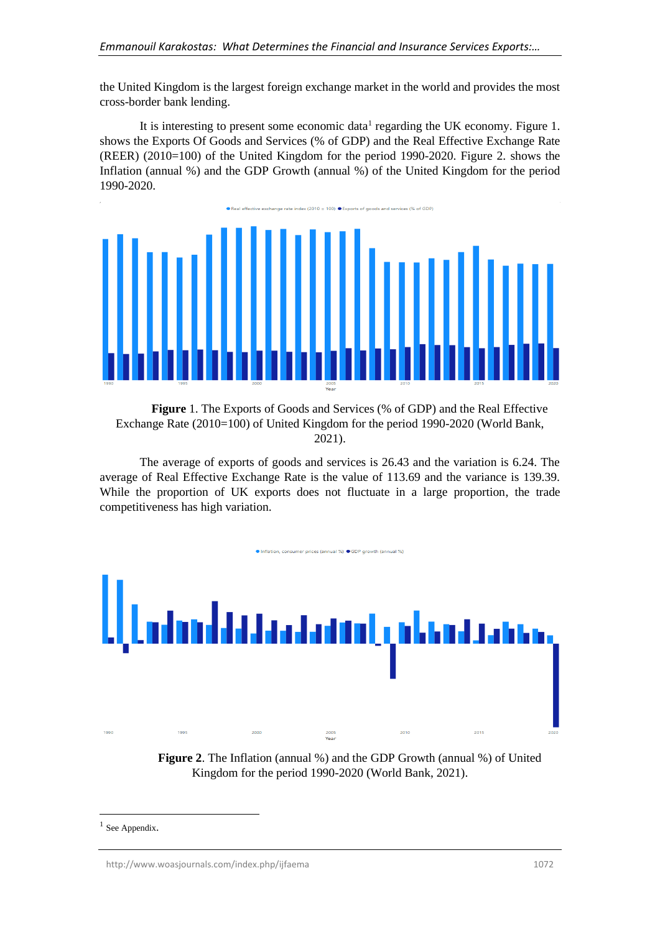the United Kingdom is the largest foreign exchange market in the world and provides the most cross-border bank lending.

It is interesting to present some economic data<sup>1</sup> regarding the UK economy. Figure 1. shows the Exports Of Goods and Services (% of GDP) and the Real Effective Exchange Rate (REER) (2010=100) of the United Kingdom for the period 1990-2020. Figure 2. shows the Inflation (annual %) and the GDP Growth (annual %) of the United Kingdom for the period 1990-2020.



**Figure** 1. The Exports of Goods and Services (% of GDP) and the Real Effective Exchange Rate (2010=100) of United Kingdom for the period 1990-2020 (World Bank, 2021).

The average of exports of goods and services is 26.43 and the variation is 6.24. The average of Real Effective Exchange Rate is the value of 113.69 and the variance is 139.39. While the proportion of UK exports does not fluctuate in a large proportion, the trade competitiveness has high variation.



**Figure 2**. The Inflation (annual %) and the GDP Growth (annual %) of United Kingdom for the period 1990-2020 (World Bank, 2021).

<sup>&</sup>lt;sup>1</sup> See Appendix.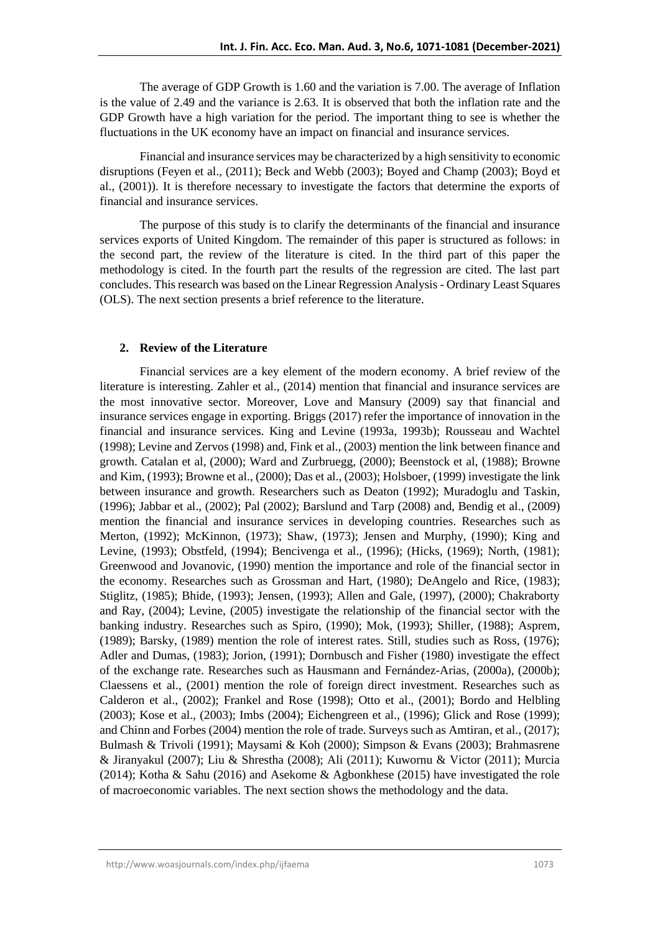The average of GDP Growth is 1.60 and the variation is 7.00. The average of Inflation is the value of 2.49 and the variance is 2.63. It is observed that both the inflation rate and the GDP Growth have a high variation for the period. The important thing to see is whether the fluctuations in the UK economy have an impact on financial and insurance services.

Financial and insurance services may be characterized by a high sensitivity to economic disruptions (Feyen et al., (2011); Beck and Webb (2003); Boyed and Champ (2003); Boyd et al., (2001)). It is therefore necessary to investigate the factors that determine the exports of financial and insurance services.

The purpose of this study is to clarify the determinants of the financial and insurance services exports of United Kingdom. The remainder of this paper is structured as follows: in the second part, the review of the literature is cited. In the third part of this paper the methodology is cited. In the fourth part the results of the regression are cited. The last part concludes. This research was based on the Linear Regression Analysis - Ordinary Least Squares (OLS). The next section presents a brief reference to the literature.

#### **2. Review of the Literature**

Financial services are a key element of the modern economy. A brief review of the literature is interesting. Zahler et al., (2014) mention that financial and insurance services are the most innovative sector. Moreover, Love and Mansury (2009) say that financial and insurance services engage in exporting. Briggs (2017) refer the importance of innovation in the financial and insurance services. King and Levine (1993a, 1993b); Rousseau and Wachtel (1998); Levine and Zervos (1998) and, Fink et al., (2003) mention the link between finance and growth. Catalan et al, (2000); Ward and Zurbruegg, (2000); Beenstock et al, (1988); Browne and Kim, (1993); Browne et al., (2000); Das et al., (2003); Holsboer, (1999) investigate the link between insurance and growth. Researchers such as Deaton (1992); Muradoglu and Taskin, (1996); Jabbar et al., (2002); Pal (2002); Barslund and Tarp (2008) and, Bendig et al., (2009) mention the financial and insurance services in developing countries. Researches such as Merton, (1992); McKinnon, (1973); Shaw, (1973); Jensen and Murphy, (1990); King and Levine, (1993); Obstfeld, (1994); Bencivenga et al., (1996); (Hicks, (1969); North, (1981); Greenwood and Jovanovic, (1990) mention the importance and role of the financial sector in the economy. Researches such as Grossman and Hart, (1980); DeAngelo and Rice, (1983); Stiglitz, (1985); Bhide, (1993); Jensen, (1993); Allen and Gale, (1997), (2000); Chakraborty and Ray, (2004); Levine, (2005) investigate the relationship of the financial sector with the banking industry. Researches such as Spiro, (1990); Mok, (1993); Shiller, (1988); Asprem, (1989); Barsky, (1989) mention the role of interest rates. Still, studies such as Ross, (1976); Adler and Dumas, (1983); Jorion, (1991); Dornbusch and Fisher (1980) investigate the effect of the exchange rate. Researches such as Hausmann and Fernández-Arias, (2000a), (2000b); Claessens et al., (2001) mention the role of foreign direct investment. Researches such as Calderon et al., (2002); Frankel and Rose (1998); Otto et al., (2001); Bordo and Helbling (2003); Kose et al., (2003); Imbs (2004); Eichengreen et al., (1996); Glick and Rose (1999); and Chinn and Forbes (2004) mention the role of trade. Surveys such as Amtiran, et al., (2017); Bulmash & Trivoli (1991); Maysami & Koh (2000); Simpson & Evans (2003); Brahmasrene & Jiranyakul (2007); Liu & Shrestha (2008); Ali (2011); Kuwornu & Victor (2011); Murcia (2014); Kotha & Sahu (2016) and Asekome & Agbonkhese (2015) have investigated the role of macroeconomic variables. The next section shows the methodology and the data.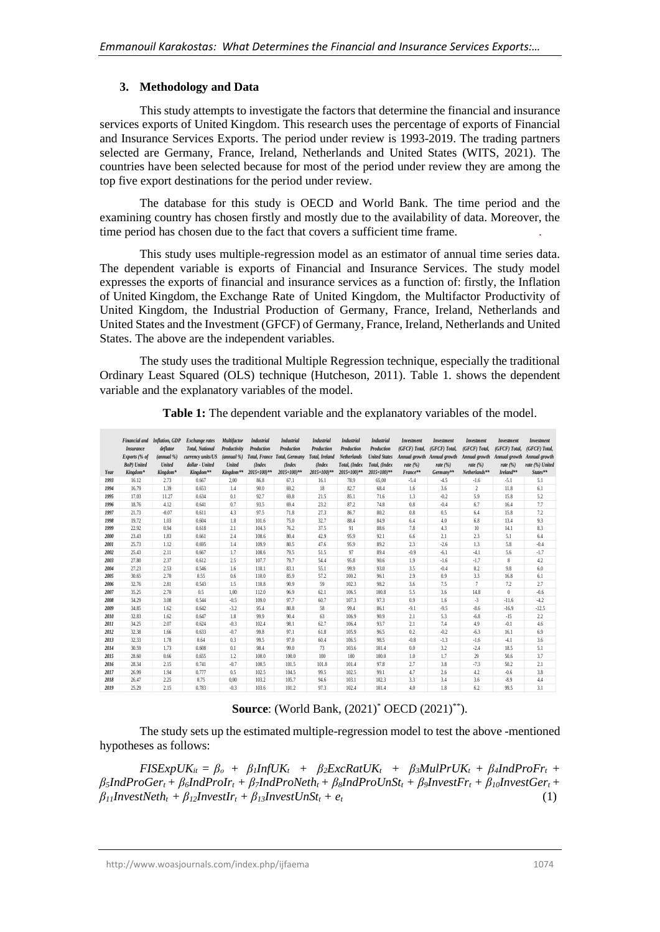## **3. Methodology and Data**

This study attempts to investigate the factors that determine the financial and insurance services exports of United Kingdom. This research uses the percentage of exports of Financial and Insurance Services Exports. The period under review is 1993-2019. The trading partners selected are Germany, France, Ireland, Netherlands and United States (WITS, 2021). The countries have been selected because for most of the period under review they are among the top five export destinations for the period under review.

The database for this study is OECD and World Bank. The time period and the examining country has chosen firstly and mostly due to the availability of data. Moreover, the time period has chosen due to the fact that covers a sufficient time frame. .

This study uses multiple-regression model as an estimator of annual time series data. The dependent variable is exports of Financial and Insurance Services. The study model expresses the exports of financial and insurance services as a function of: firstly, the Inflation of United Kingdom, the Exchange Rate of United Kingdom, the Multifactor Productivity of United Kingdom, the Industrial Production of Germany, France, Ireland, Netherlands and United States and the Investment (GFCF) of Germany, France, Ireland, Netherlands and United States. The above are the independent variables.

The study uses the traditional Multiple Regression technique, especially the traditional Ordinary Least Squared (OLS) technique (Hutcheson, 2011). Table 1. shows the dependent variable and the explanatory variables of the model.

| Year | <b>Insurance</b><br>Exports (% of<br><b>BoP</b> ) United<br>Kingdom <sup>*</sup> | deflator<br>$(annual\%)$<br><b>United</b><br>Kingdom* | Financial and Inflation, GDP Exchange rates<br><b>Total, National</b><br>currency units/US<br>dollar - United<br>Kingdom** | <b>Multifactor</b><br>Productivity<br>(annual %)<br><b>United</b><br>Kingdom** | <b>Industrial</b><br>Production<br>(Index)<br>$2015 = 100$ <sup>**</sup> | <b>Industrial</b><br>Production<br>Total, France Total, Germany<br>(Index<br>$2015 = 100$ <sup>**</sup> | <b>Industrial</b><br>Production<br><b>Total, Ireland</b><br>(Index<br>$2015 = 100$ <sup>**</sup> | <b>Industrial</b><br>Production<br><b>Netherlands</b><br>Total, (Index<br>2015=100)** | <b>Industrial</b><br>Production<br><b>United States</b><br>Total, (Index<br>$2015 = 100$ <sup>9*</sup> | Investment<br>(GFCF) Total.<br>rate $(% )$<br>France** | <b>Investment</b><br>(GFCF) Total.<br>rate $(\%)$<br>Germany <sup>**</sup> | <b>Investment</b><br>(GFCF) Total.<br>Annual growth Annual growth Annual growth<br>rate $(\%)$<br>$Netherlands$ <sup>**</sup> | Investment<br>(GFCF) Total.<br>rate $(%)$<br>$I$ reland** | <b>Investment</b><br>(GFCF) Total.<br>Annual growth Annual growth<br>rate (%) United<br>States** |
|------|----------------------------------------------------------------------------------|-------------------------------------------------------|----------------------------------------------------------------------------------------------------------------------------|--------------------------------------------------------------------------------|--------------------------------------------------------------------------|---------------------------------------------------------------------------------------------------------|--------------------------------------------------------------------------------------------------|---------------------------------------------------------------------------------------|--------------------------------------------------------------------------------------------------------|--------------------------------------------------------|----------------------------------------------------------------------------|-------------------------------------------------------------------------------------------------------------------------------|-----------------------------------------------------------|--------------------------------------------------------------------------------------------------|
| 1993 | 16.12                                                                            | 2.73                                                  | 0.667                                                                                                                      | 2,00                                                                           | 86.8                                                                     | 67.1                                                                                                    | 16.1                                                                                             | 78.9                                                                                  | 65,00                                                                                                  | $-5.4$                                                 | $-4.5$                                                                     | $-1.6$                                                                                                                        | $-5.1$                                                    | 5.1                                                                                              |
| 1994 | 16.79                                                                            | 1.39                                                  | 0.653                                                                                                                      | 1.4                                                                            | 90.0                                                                     | 69.2                                                                                                    | 18                                                                                               | 82.7                                                                                  | 68.4                                                                                                   | 1.6                                                    | 3.6                                                                        | $\overline{c}$                                                                                                                | 11.8                                                      | 6.1                                                                                              |
| 1995 | 17.03                                                                            | 11.27                                                 | 0.634                                                                                                                      | 0.1                                                                            | 92.7                                                                     | 69.8                                                                                                    | 21.5                                                                                             | 85.1                                                                                  | 71.6                                                                                                   | 1.3                                                    | $-0.2$                                                                     | 5.9                                                                                                                           | 15.8                                                      | 5.2                                                                                              |
| 1996 | 18.76                                                                            | 4.12                                                  | 0.641                                                                                                                      | 0.7                                                                            | 93.5                                                                     | 69.4                                                                                                    | 23.2                                                                                             | 87.2                                                                                  | 74.8                                                                                                   | 0.8                                                    | $-0.4$                                                                     | 6.7                                                                                                                           | 16.4                                                      | 7.7                                                                                              |
| 1997 | 21.73                                                                            | $-0.07$                                               | 0.611                                                                                                                      | 4.3                                                                            | 97.5                                                                     | 71.8                                                                                                    | 27.3                                                                                             | 86.7                                                                                  | 80.2                                                                                                   | 0.8                                                    | 0.5                                                                        | 6.4                                                                                                                           | 15.8                                                      | 7.2                                                                                              |
| 1998 | 19.72                                                                            | 1.03                                                  | 0.604                                                                                                                      | 1.8                                                                            | 101.6                                                                    | 75.0                                                                                                    | 32.7                                                                                             | 88.4                                                                                  | 84.9                                                                                                   | 6.4                                                    | 4.0                                                                        | 6.8                                                                                                                           | 13.4                                                      | 9.3                                                                                              |
| 1999 | 22.92                                                                            | 0.94                                                  | 0.618                                                                                                                      | 2.1                                                                            | 104.3                                                                    | 76.2                                                                                                    | 37.5                                                                                             | 91                                                                                    | 88.6                                                                                                   | 7.8                                                    | 4.3                                                                        | 10                                                                                                                            | 14.1                                                      | 8.3                                                                                              |
| 2000 | 23.43                                                                            | 1.83                                                  | 0.661                                                                                                                      | 2.4                                                                            | 108.6                                                                    | 80.4                                                                                                    | 42.9                                                                                             | 95.9                                                                                  | 92.1                                                                                                   | 6.6                                                    | 2.1                                                                        | 2.3                                                                                                                           | 5.1                                                       | 6.4                                                                                              |
| 2001 | 25.73                                                                            | 1.12                                                  | 0.695                                                                                                                      | 1.4                                                                            | 109.9                                                                    | 80.5                                                                                                    | 47.6                                                                                             | 95.9                                                                                  | 89.2                                                                                                   | 2.3                                                    | $-2.6$                                                                     | 1.3                                                                                                                           | 5.8                                                       | $-0.4$                                                                                           |
| 2002 | 25.43                                                                            | 2.11                                                  | 0.667                                                                                                                      | 1.7                                                                            | 108.6                                                                    | 79.5                                                                                                    | 51.5                                                                                             | 97                                                                                    | 89.4                                                                                                   | $-0.9$                                                 | $-6.1$                                                                     | $-4.1$                                                                                                                        | 5.6                                                       | $-1.7$                                                                                           |
| 2003 | 27.80                                                                            | 2.37                                                  | 0.612                                                                                                                      | 2.5                                                                            | 107.7                                                                    | 79.7                                                                                                    | 54.4                                                                                             | 95.8                                                                                  | 90.6                                                                                                   | 1.9                                                    | $-1.6$                                                                     | $-1.7$                                                                                                                        | 8                                                         | 4.2                                                                                              |
| 2004 | 27.23                                                                            | 2.53                                                  | 0.546                                                                                                                      | 1.6                                                                            | 110.1                                                                    | 83.1                                                                                                    | 55.1                                                                                             | 99.9                                                                                  | 93.0                                                                                                   | 3.5                                                    | $-0.4$                                                                     | 0.2                                                                                                                           | 9.8                                                       | 6.0                                                                                              |
| 2005 | 30.65                                                                            | 2.70                                                  | 0.55                                                                                                                       | 0.6                                                                            | 110.0                                                                    | 85.9                                                                                                    | 57.2                                                                                             | 100.2                                                                                 | 96.1                                                                                                   | 2.9                                                    | 0.9                                                                        | 3.3                                                                                                                           | 16.8                                                      | 6.1                                                                                              |
| 2006 | 32.76                                                                            | 2.81                                                  | 0.543                                                                                                                      | 1.5                                                                            | 110.8                                                                    | 90.9                                                                                                    | 59                                                                                               | 102.3                                                                                 | 98.2                                                                                                   | 3.6                                                    | 7.5                                                                        | $\overline{7}$                                                                                                                | 7.2                                                       | 2.7                                                                                              |
| 2007 | 35.25                                                                            | 2.70                                                  | 0.5                                                                                                                        | 1,00                                                                           | 112.0                                                                    | 96.9                                                                                                    | 62.1                                                                                             | 106.5                                                                                 | 100.8                                                                                                  | 5.5                                                    | 3.6                                                                        | 14.8                                                                                                                          | $\theta$                                                  | $-0.6$                                                                                           |
| 2008 | 34.29                                                                            | 3.08                                                  | 0.544                                                                                                                      | $-0.5$                                                                         | 109.0                                                                    | 97.7                                                                                                    | 60.7                                                                                             | 107.3                                                                                 | 97.3                                                                                                   | 0.9                                                    | 1.6                                                                        | $-3$                                                                                                                          | $-11.6$                                                   | $-4.2$                                                                                           |
| 2009 | 34.85                                                                            | 1.62                                                  | 0.642                                                                                                                      | $-3.2$                                                                         | 95.4                                                                     | 80.8                                                                                                    | 58                                                                                               | 99.4                                                                                  | 86.1                                                                                                   | $-9.1$                                                 | $-9.5$                                                                     | $-8.6$                                                                                                                        | $-16.9$                                                   | $-12.5$                                                                                          |
| 2010 | 32.83                                                                            | 1.62                                                  | 0.647                                                                                                                      | 1.8                                                                            | 99.9                                                                     | 90.4                                                                                                    | 63                                                                                               | 106.9                                                                                 | 90.9                                                                                                   | 2.1                                                    | 5.3                                                                        | $-6.8$                                                                                                                        | $-15$                                                     | 2.2                                                                                              |
| 2011 | 34.25                                                                            | 2.07                                                  | 0.624                                                                                                                      | $-0.3$                                                                         | 102.4                                                                    | 98.1                                                                                                    | 62.7                                                                                             | 106.4                                                                                 | 93.7                                                                                                   | 2.1                                                    | 7.4                                                                        | 4.9                                                                                                                           | $-0.1$                                                    | 4.6                                                                                              |
| 2012 | 32.38                                                                            | 1.66                                                  | 0.633                                                                                                                      | $-0.7$                                                                         | 99.8                                                                     | 97.1                                                                                                    | 61.8                                                                                             | 105.9                                                                                 | 96.5                                                                                                   | 0.2                                                    | $-0.2$                                                                     | $-6.3$                                                                                                                        | 16.1                                                      | 6.9                                                                                              |
| 2013 | 32.33                                                                            | 1.78                                                  | 0.64                                                                                                                       | 0.3                                                                            | 99.5                                                                     | 97.0                                                                                                    | 60.4                                                                                             | 106.5                                                                                 | 98.5                                                                                                   | $-0.8$                                                 | $-1.3$                                                                     | $-1.6$                                                                                                                        | $-4.1$                                                    | 3.6                                                                                              |
| 2014 | 30.59                                                                            | 1.73                                                  | 0.608                                                                                                                      | 0.1                                                                            | 98.4                                                                     | 99.0                                                                                                    | 73                                                                                               | 103.6                                                                                 | 101.4                                                                                                  | 0.0                                                    | 3.2                                                                        | $-2.4$                                                                                                                        | 18.5                                                      | 5.1                                                                                              |
| 2015 | 28.60                                                                            | 0.66                                                  | 0.655                                                                                                                      | 1.2                                                                            | 100.0                                                                    | 100.0                                                                                                   | 100                                                                                              | 100                                                                                   | 100.0                                                                                                  | 1.0                                                    | 1.7                                                                        | 29                                                                                                                            | 50.6                                                      | 3.7                                                                                              |
| 2016 | 28.34                                                                            | 2.15                                                  | 0.741                                                                                                                      | $-0.7$                                                                         | 100.5                                                                    | 101.5                                                                                                   | 101.8                                                                                            | 101.4                                                                                 | 97.8                                                                                                   | 2.7                                                    | 3.8                                                                        | $-7.3$                                                                                                                        | 50.2                                                      | 2.1                                                                                              |
| 2017 | 26.99                                                                            | 1.94                                                  | 0.777                                                                                                                      | 0.5                                                                            | 102.5                                                                    | 104.5                                                                                                   | 99.5                                                                                             | 102.5                                                                                 | 99.1                                                                                                   | 4.7                                                    | 2.6                                                                        | 4.2                                                                                                                           | $-0.6$                                                    | 3.8                                                                                              |
| 2018 | 26.47                                                                            | 2.25                                                  | 0.75                                                                                                                       | 0.00                                                                           | 103.2                                                                    | 105.7                                                                                                   | 94.6                                                                                             | 103.1                                                                                 | 102.3                                                                                                  | 3.3                                                    | 3.4                                                                        | 3.6                                                                                                                           | $-8.9$                                                    | 4.4                                                                                              |
| 2019 | 25.29                                                                            | 2.15                                                  | 0.783                                                                                                                      | $-0.3$                                                                         | 103.6                                                                    | 101.2                                                                                                   | 97.3                                                                                             | 102.4                                                                                 | 101.4                                                                                                  | 4.0                                                    | 1.8                                                                        | 6.2                                                                                                                           | 99.5                                                      | 3.1                                                                                              |

**Table 1:** The dependent variable and the explanatory variables of the model.

# **Source:** (World Bank, (2021)<sup>\*</sup> OECD (2021)<sup>\*\*</sup>).

The study sets up the estimated multiple-regression model to test the above -mentioned hypotheses as follows:

 $FISExpUK_{it} = \beta_o + \beta_l InfUK_t + \beta_2 ExcRatUK_t + \beta_3 MulPrUK_t + \beta_4 IndProFr_t +$  $\beta_5$ IndProGer<sub>t</sub> +  $\beta_6$ IndProIr<sub>t</sub> +  $\beta_7$ IndProNeth<sub>t</sub> +  $\beta_8$ IndProUnSt<sub>t</sub> +  $\beta_9$ InvestFr<sub>t</sub> +  $\beta_{10}$ InvestGer<sub>t</sub> +  $\beta_{11}$ *InvestNeth*<sub>t</sub> +  $\beta_{12}$ *InvestIr*<sub>t</sub> +  $\beta_{13}$ *InvestUnSt*<sub>t</sub> +  $e_t$  (1)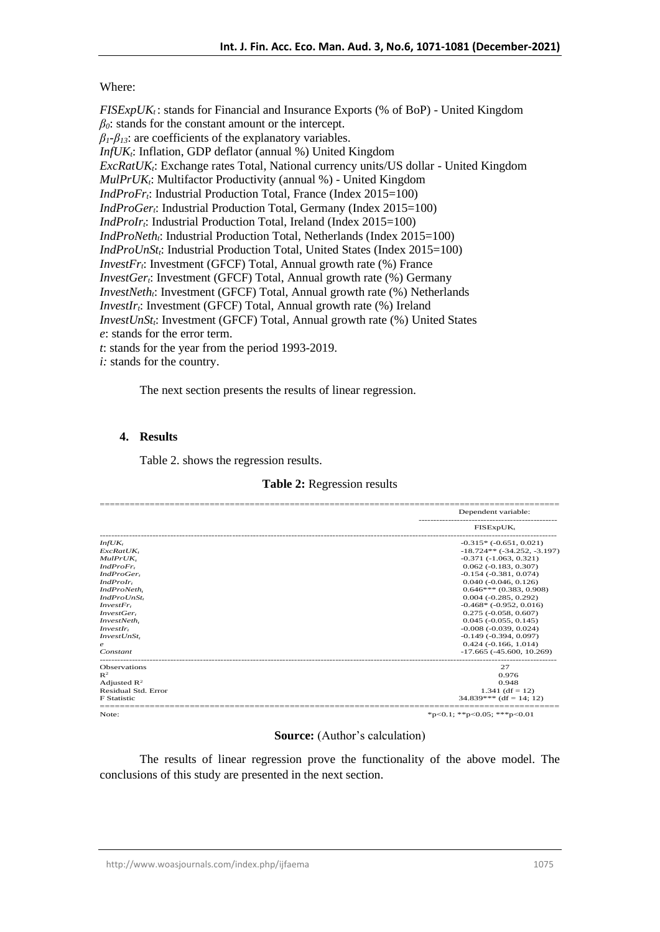## Where:

*FISExpUK<sub>t</sub>*: stands for Financial and Insurance Exports (% of BoP) - United Kingdom *β0*: stands for the constant amount or the intercept.  $\beta_1$ <sup>- $\beta_2$ </sup>; are coefficients of the explanatory variables. *InfUKt*: Inflation, GDP deflator (annual %) United Kingdom *ExcRatUKt*: Exchange rates Total, National currency units/US dollar - United Kingdom *MulPrUKt*: Multifactor Productivity (annual %) - United Kingdom *IndProFr<sub>i</sub>*: Industrial Production Total, France (Index 2015=100) *IndProGert*: Industrial Production Total, Germany (Index 2015=100) *IndProIr<sub>t</sub>*: Industrial Production Total, Ireland (Index 2015=100) *IndProNeth<sub>i</sub>*: Industrial Production Total, Netherlands (Index 2015=100) *IndProUnSt<sub>t</sub>*: Industrial Production Total, United States (Index 2015=100) *InvestFrt*: Investment (GFCF) Total, Annual growth rate (%) France *InvestGer<sub>t</sub>*: Investment (GFCF) Total, Annual growth rate (%) Germany *InvestNeth<sub>i</sub>*: Investment (GFCF) Total, Annual growth rate (%) Netherlands *InvestIr<sub>i</sub>*: Investment (GFCF) Total, Annual growth rate (%) Ireland *InvestUnStt*: Investment (GFCF) Total, Annual growth rate (%) United States *e*: stands for the error term. *t*: stands for the year from the period 1993-2019.

*i:* stands for the country.

The next section presents the results of linear regression.

## **4. Results**

Table 2. shows the regression results.

### **Table 2:** Regression results

|                         | Dependent variable:               |
|-------------------------|-----------------------------------|
|                         | $FISExpUK_t$                      |
| InfUK,                  | $-0.315*$ $(-0.651, 0.021)$       |
| ExcRatUK.               | $-18.724**$ ( $-34.252, -3.197$ ) |
| MulPrUK.                | $-0.371(-1.063, 0.321)$           |
| IndProFr,               | $0.062$ ( $-0.183$ , $0.307$ )    |
| IndProGer,              | $-0.154$ $(-0.381, 0.074)$        |
| IndProIr.               | $0.040$ ( $-0.046$ , $0.126$ )    |
| IndProNeth.             | $0.646***$ (0.383, 0.908)         |
| IndProUnSt,             | $0.004$ ( $-0.285$ , $0.292$ )    |
| InvestFr.               | $-0.468*$ $(-0.952, 0.016)$       |
| InvestGer.              | $0.275$ ( $-0.058$ , $0.607$ )    |
| InvestNeth,             | $0.045$ ( $-0.055$ , $0.145$ )    |
| InvestIr.               | $-0.008$ $(-0.039, 0.024)$        |
| InvestUnSt,             | $-0.149(-0.394, 0.097)$           |
| $\boldsymbol{e}$        | $0.424$ ( $-0.166$ , $1.014$ )    |
| Constant                | $-17.665$ ( $-45.600, 10.269$ )   |
| <b>Observations</b>     | 27                                |
| $\mathbb{R}^2$          | 0.976                             |
| Adjusted $\mathbb{R}^2$ | 0.948                             |
| Residual Std. Error     | $1.341$ (df = 12)                 |
| <b>F</b> Statistic      | $34.839***$ (df = 14: 12)         |
| Note:                   | *p<0.1; **p<0.05; ***p<0.01       |

#### **Source:** (Author's calculation)

The results of linear regression prove the functionality of the above model. The conclusions of this study are presented in the next section.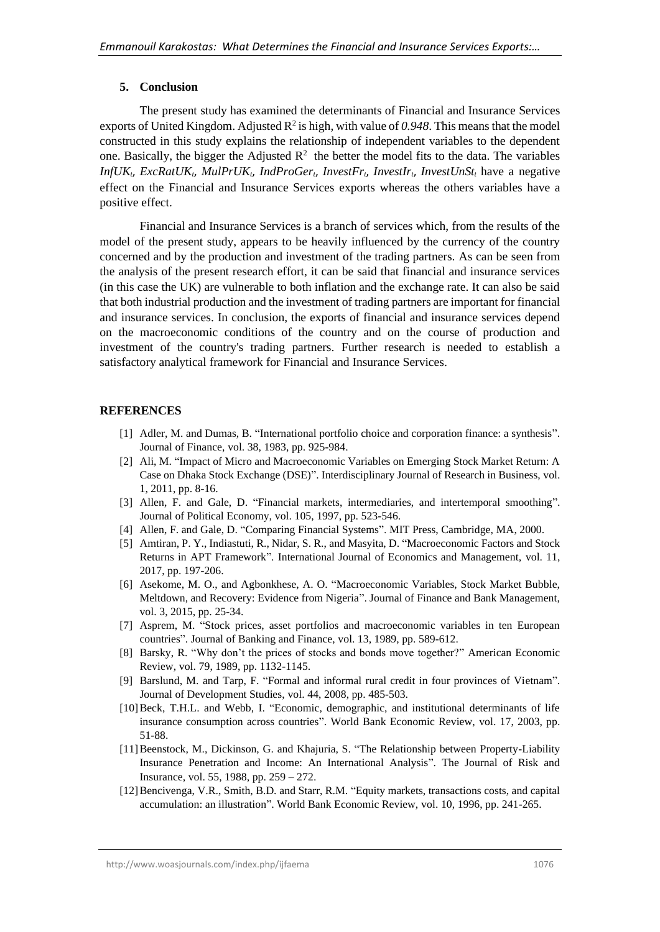### **5. Conclusion**

The present study has examined the determinants of Financial and Insurance Services exports of United Kingdom. Adjusted  $R^2$  is high, with value of 0.948. This means that the model constructed in this study explains the relationship of independent variables to the dependent one. Basically, the bigger the Adjusted  $\mathbb{R}^2$  the better the model fits to the data. The variables *InfUKt*, *ExcRatUKt*, *MulPrUKt*, *IndProGert*, *InvestFrt*, *InvestIrt*, *InvestUnSt<sup>t</sup>* have a negative effect on the Financial and Insurance Services exports whereas the others variables have a positive effect.

Financial and Insurance Services is a branch of services which, from the results of the model of the present study, appears to be heavily influenced by the currency of the country concerned and by the production and investment of the trading partners. As can be seen from the analysis of the present research effort, it can be said that financial and insurance services (in this case the UK) are vulnerable to both inflation and the exchange rate. It can also be said that both industrial production and the investment of trading partners are important for financial and insurance services. In conclusion, the exports of financial and insurance services depend on the macroeconomic conditions of the country and on the course of production and investment of the country's trading partners. Further research is needed to establish a satisfactory analytical framework for Financial and Insurance Services.

### **REFERENCES**

- [1] Adler, M. and Dumas, B. "International portfolio choice and corporation finance: a synthesis". Journal of Finance, vol. 38, 1983, pp. 925-984.
- [2] Ali, M. "Impact of Micro and Macroeconomic Variables on Emerging Stock Market Return: A Case on Dhaka Stock Exchange (DSE)". Interdisciplinary Journal of Research in Business, vol. 1, 2011, pp. 8-16.
- [3] Allen, F. and Gale, D. "Financial markets, intermediaries, and intertemporal smoothing". Journal of Political Economy, vol. 105, 1997, pp. 523-546.
- [4] Allen, F. and Gale, D. "Comparing Financial Systems". MIT Press, Cambridge, MA, 2000.
- [5] Amtiran, P. Y., Indiastuti, R., Nidar, S. R., and Masyita, D. "Macroeconomic Factors and Stock Returns in APT Framework". International Journal of Economics and Management, vol. 11, 2017, pp. 197-206.
- [6] Asekome, M. O., and Agbonkhese, A. O. "Macroeconomic Variables, Stock Market Bubble, Meltdown, and Recovery: Evidence from Nigeria". Journal of Finance and Bank Management, vol. 3, 2015, pp. 25-34.
- [7] Asprem, M. "Stock prices, asset portfolios and macroeconomic variables in ten European countries". Journal of Banking and Finance, vol. 13, 1989, pp. 589-612.
- [8] Barsky, R. "Why don't the prices of stocks and bonds move together?" American Economic Review, vol. 79, 1989, pp. 1132-1145.
- [9] Barslund, M. and Tarp, F. "Formal and informal rural credit in four provinces of Vietnam". Journal of Development Studies, vol. 44, 2008, pp. 485-503.
- [10]Beck, T.H.L. and Webb, I. "Economic, demographic, and institutional determinants of life insurance consumption across countries". World Bank Economic Review, vol. 17, 2003, pp. 51-88.
- [11]Beenstock, M., Dickinson, G. and Khajuria, S. "The Relationship between Property-Liability Insurance Penetration and Income: An International Analysis". The Journal of Risk and Insurance, vol. 55, 1988, pp. 259 – 272.
- [12]Bencivenga, V.R., Smith, B.D. and Starr, R.M. "Equity markets, transactions costs, and capital accumulation: an illustration". World Bank Economic Review, vol. 10, 1996, pp. 241-265.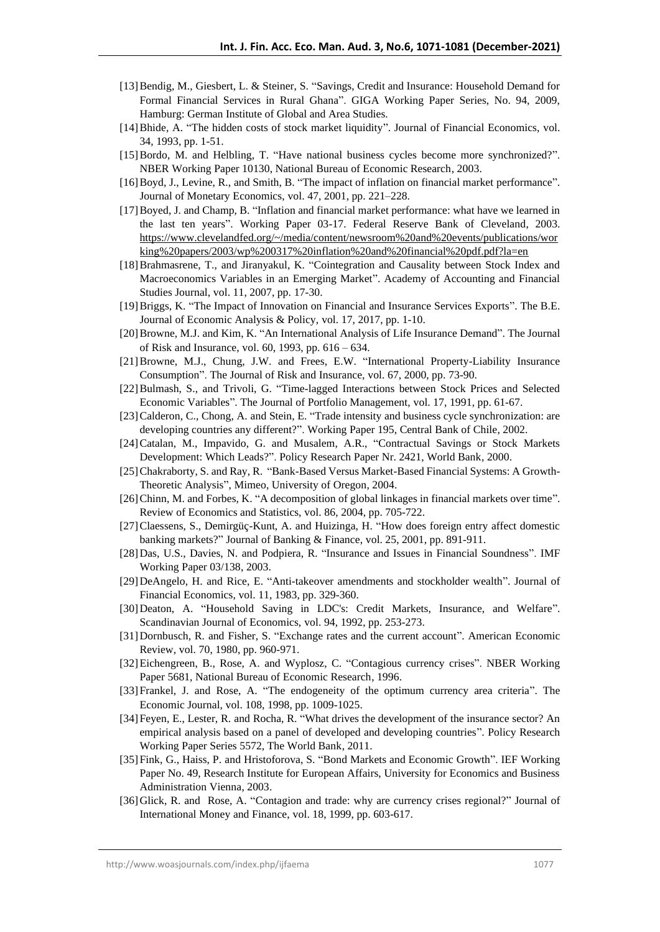- [13]Bendig, M., Giesbert, L. & Steiner, S. "Savings, Credit and Insurance: Household Demand for Formal Financial Services in Rural Ghana". GIGA Working Paper Series, No. 94, 2009, Hamburg: German Institute of Global and Area Studies.
- [14]Bhide, A. "The hidden costs of stock market liquidity". Journal of Financial Economics, vol. 34, 1993, pp. 1-51.
- [15]Bordo, M. and Helbling, T. "Have national business cycles become more synchronized?". NBER Working Paper 10130, National Bureau of Economic Research, 2003.
- [16]Boyd, J., Levine, R., and Smith, B. "The impact of inflation on financial market performance". Journal of Monetary Economics, vol. 47, 2001, pp. 221–228.
- [17]Boyed, J. and Champ, B. "Inflation and financial market performance: what have we learned in the last ten years". Working Paper 03-17. Federal Reserve Bank of Cleveland, 2003. [https://www.clevelandfed.org/~/media/content/newsroom%20and%20events/publications/wor](https://www.clevelandfed.org/~/media/content/newsroom%20and%20events/publications/working%20papers/2003/wp%200317%20inflation%20and%20financial%20pdf.pdf?la=en) [king%20papers/2003/wp%200317%20inflation%20and%20financial%20pdf.pdf?la=en](https://www.clevelandfed.org/~/media/content/newsroom%20and%20events/publications/working%20papers/2003/wp%200317%20inflation%20and%20financial%20pdf.pdf?la=en)
- [18]Brahmasrene, T., and Jiranyakul, K. "Cointegration and Causality between Stock Index and Macroeconomics Variables in an Emerging Market". Academy of Accounting and Financial Studies Journal, vol. 11, 2007, pp. 17-30.
- [19]Briggs, K. "The Impact of Innovation on Financial and Insurance Services Exports". The B.E. Journal of Economic Analysis & Policy, vol. 17, 2017, pp. 1-10.
- [20]Browne, M.J. and Kim, K. "An International Analysis of Life Insurance Demand". The Journal of Risk and Insurance, vol. 60, 1993, pp. 616 – 634.
- [21]Browne, M.J., Chung, J.W. and Frees, E.W. "International Property-Liability Insurance Consumption". The Journal of Risk and Insurance, vol. 67, 2000, pp. 73-90.
- [22]Bulmash, S., and Trivoli, G. "Time-lagged Interactions between Stock Prices and Selected Economic Variables". The Journal of Portfolio Management, vol. 17, 1991, pp. 61-67.
- [23] Calderon, C., Chong, A. and Stein, E. "Trade intensity and business cycle synchronization: are developing countries any different?". Working Paper 195, Central Bank of Chile, 2002.
- [24]Catalan, M., Impavido, G. and Musalem, A.R., "Contractual Savings or Stock Markets Development: Which Leads?". Policy Research Paper Nr. 2421, World Bank, 2000.
- [25]Chakraborty, S. and Ray, R. "Bank-Based Versus Market-Based Financial Systems: A Growth-Theoretic Analysis", Mimeo, University of Oregon, 2004.
- [26]Chinn, M. and Forbes, K. "A decomposition of global linkages in financial markets over time". Review of Economics and Statistics, vol. 86, 2004, pp. 705-722.
- [27]Claessens, S., Demirgüç-Kunt, A. and Huizinga, H. "How does foreign entry affect domestic banking markets?" Journal of Banking & Finance, vol. 25, 2001, pp. 891-911.
- [28]Das, U.S., Davies, N. and Podpiera, R. "Insurance and Issues in Financial Soundness". IMF Working Paper 03/138, 2003.
- [29]DeAngelo, H. and Rice, E. "Anti-takeover amendments and stockholder wealth". Journal of Financial Economics, vol. 11, 1983, pp. 329-360.
- [30]Deaton, A. "Household Saving in LDC's: Credit Markets, Insurance, and Welfare". Scandinavian Journal of Economics, vol. 94, 1992, pp. 253-273.
- [31]Dornbusch, R. and Fisher, S. "Exchange rates and the current account". American Economic Review, vol. 70, 1980, pp. 960-971.
- [32]Eichengreen, B., Rose, A. and Wyplosz, C. "Contagious currency crises". NBER Working Paper 5681, National Bureau of Economic Research, 1996.
- [33] Frankel, J. and Rose, A. "The endogeneity of the optimum currency area criteria". The Economic Journal, vol. 108, 1998, pp. 1009-1025.
- [34]Feyen, E., Lester, R. and Rocha, R. "What drives the development of the insurance sector? An empirical analysis based on a panel of developed and developing countries". Policy Research Working Paper Series 5572, The World Bank, 2011.
- [35]Fink, G., Haiss, P. and Hristoforova, S. "Bond Markets and Economic Growth". IEF Working Paper No. 49, Research Institute for European Affairs, University for Economics and Business Administration Vienna, 2003.
- [36]Glick, R. and Rose, A. "Contagion and trade: why are currency crises regional?" Journal of International Money and Finance, vol. 18, 1999, pp. 603-617.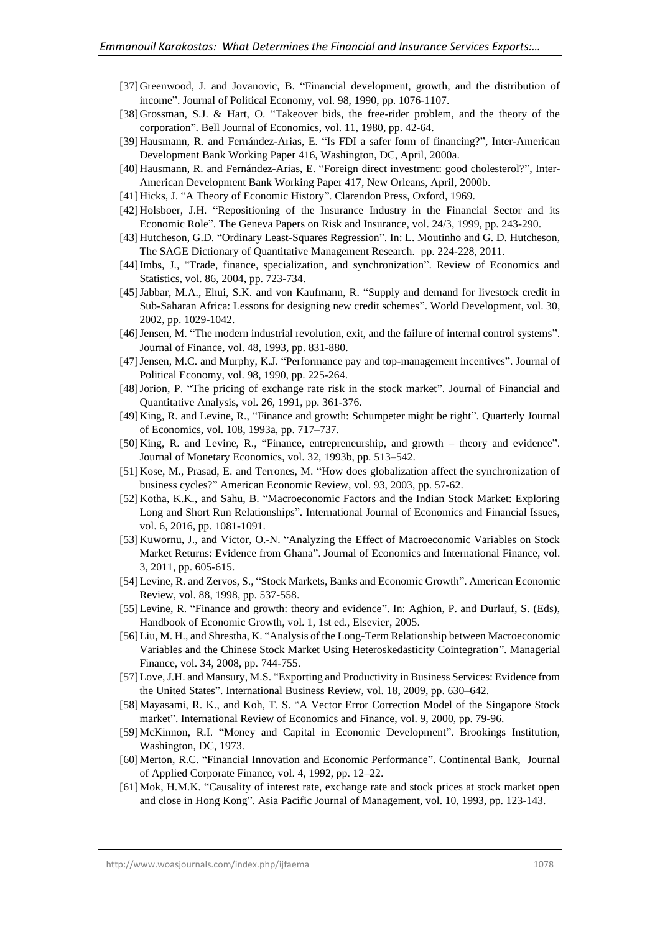- [37]Greenwood, J. and Jovanovic, B. "Financial development, growth, and the distribution of income". Journal of Political Economy, vol. 98, 1990, pp. 1076-1107.
- [38]Grossman, S.J. & Hart, O. "Takeover bids, the free-rider problem, and the theory of the corporation". Bell Journal of Economics, vol. 11, 1980, pp. 42-64.
- [39]Hausmann, R. and Fernández-Arias, E. "Is FDI a safer form of financing?", Inter-American Development Bank Working Paper 416, Washington, DC, April, 2000a.
- [40]Hausmann, R. and Fernández-Arias, E. "Foreign direct investment: good cholesterol?", Inter-American Development Bank Working Paper 417, New Orleans, April, 2000b.
- [41] Hicks, J. "A Theory of Economic History". Clarendon Press, Oxford, 1969.
- [42]Holsboer, J.H. "Repositioning of the Insurance Industry in the Financial Sector and its Economic Role". The Geneva Papers on Risk and Insurance, vol. 24/3, 1999, pp. 243-290.
- [43]Hutcheson, G.D. "Ordinary Least-Squares Regression". In: L. Moutinho and G. D. Hutcheson, The SAGE Dictionary of Quantitative Management Research. pp. 224-228, 2011.
- [44]Imbs, J., "Trade, finance, specialization, and synchronization". Review of Economics and Statistics, vol. 86, 2004, pp. 723-734.
- [45]Jabbar, M.A., Ehui, S.K. and von Kaufmann, R. "Supply and demand for livestock credit in Sub-Saharan Africa: Lessons for designing new credit schemes". World Development, vol. 30, 2002, pp. 1029-1042.
- [46]Jensen, M. "The modern industrial revolution, exit, and the failure of internal control systems". Journal of Finance, vol. 48, 1993, pp. 831-880.
- [47]Jensen, M.C. and Murphy, K.J. "Performance pay and top-management incentives". Journal of Political Economy, vol. 98, 1990, pp. 225-264.
- [48]Jorion, P. "The pricing of exchange rate risk in the stock market". Journal of Financial and Quantitative Analysis, vol. 26, 1991, pp. 361-376.
- [49]King, R. and Levine, R., "Finance and growth: Schumpeter might be right". Quarterly Journal of Economics, vol. 108, 1993a, pp. 717–737.
- [50]King, R. and Levine, R., "Finance, entrepreneurship, and growth theory and evidence". Journal of Monetary Economics, vol. 32, 1993b, pp. 513–542.
- [51]Kose, M., Prasad, E. and Terrones, M. "How does globalization affect the synchronization of business cycles?" American Economic Review, vol. 93, 2003, pp. 57-62.
- [52]Kotha, K.K., and Sahu, B. "Macroeconomic Factors and the Indian Stock Market: Exploring Long and Short Run Relationships". International Journal of Economics and Financial Issues, vol. 6, 2016, pp. 1081-1091.
- [53]Kuwornu, J., and Victor, O.-N. "Analyzing the Effect of Macroeconomic Variables on Stock Market Returns: Evidence from Ghana". Journal of Economics and International Finance, vol. 3, 2011, pp. 605-615.
- [54]Levine, R. and Zervos, S., "Stock Markets, Banks and Economic Growth". American Economic Review, vol. 88, 1998, pp. 537-558.
- [55]Levine, R. "Finance and growth: theory and evidence". In: Aghion, P. and Durlauf, S. (Eds), Handbook of Economic Growth, vol. 1, 1st ed., Elsevier, 2005.
- [56]Liu, M. H., and Shrestha, K. "Analysis of the Long-Term Relationship between Macroeconomic Variables and the Chinese Stock Market Using Heteroskedasticity Cointegration". Managerial Finance, vol. 34, 2008, pp. 744-755.
- [57]Love, J.H. and Mansury, M.S. "Exporting and Productivity in Business Services: Evidence from the United States". International Business Review, vol. 18, 2009, pp. 630–642.
- [58]Mayasami, R. K., and Koh, T. S. "A Vector Error Correction Model of the Singapore Stock market". International Review of Economics and Finance, vol. 9, 2000, pp. 79-96.
- [59]McKinnon, R.I. "Money and Capital in Economic Development". Brookings Institution, Washington, DC, 1973.
- [60] Merton, R.C. "Financial Innovation and Economic Performance". Continental Bank, Journal of Applied Corporate Finance, vol. 4, 1992, pp. 12–22.
- [61]Mok, H.M.K. "Causality of interest rate, exchange rate and stock prices at stock market open and close in Hong Kong". Asia Pacific Journal of Management, vol. 10, 1993, pp. 123-143.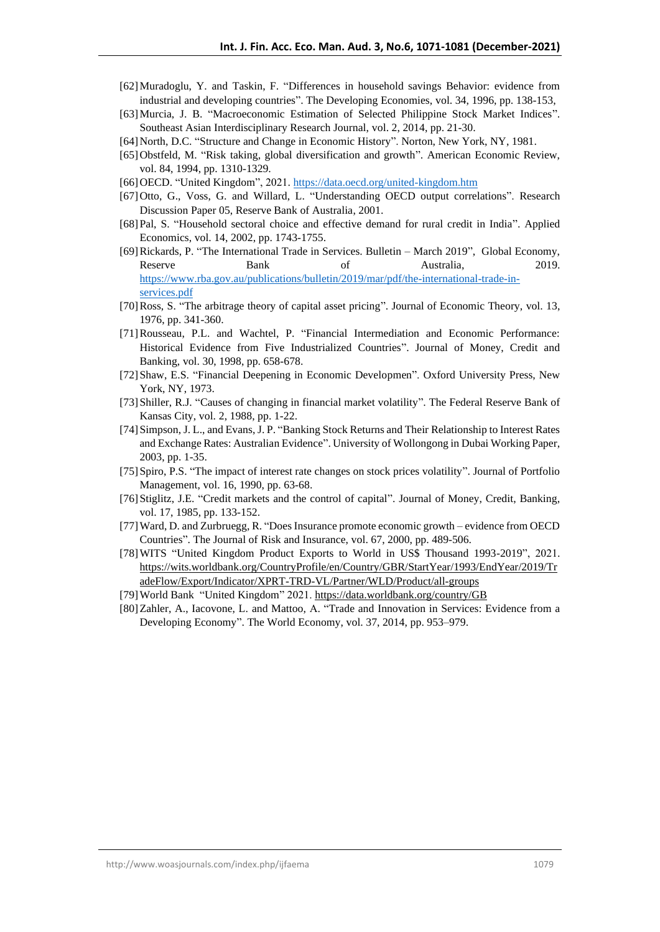- [62]Muradoglu, Y. and Taskin, F. "Differences in household savings Behavior: evidence from industrial and developing countries". The Developing Economies, vol. 34, 1996, pp. 138-153,
- [63]Murcia, J. B. "Macroeconomic Estimation of Selected Philippine Stock Market Indices". Southeast Asian Interdisciplinary Research Journal, vol. 2, 2014, pp. 21-30.
- [64]North, D.C. "Structure and Change in Economic History". Norton, New York, NY, 1981.
- [65] Obstfeld, M. "Risk taking, global diversification and growth". American Economic Review, vol. 84, 1994, pp. 1310-1329.
- [66]OECD. "United Kingdom", 2021[. https://data.oecd.org/united-kingdom.htm](https://data.oecd.org/united-kingdom.htm)
- [67]Otto, G., Voss, G. and Willard, L. "Understanding OECD output correlations". Research Discussion Paper 05, Reserve Bank of Australia, 2001.
- [68]Pal, S. "Household sectoral choice and effective demand for rural credit in India". Applied Economics, vol. 14, 2002, pp. 1743-1755.
- [69]Rickards, P. "The International Trade in Services. Bulletin March 2019", Global Economy, Reserve **Bank** of Australia, 2019. [https://www.rba.gov.au/publications/bulletin/2019/mar/pdf/the-international-trade-in](https://www.rba.gov.au/publications/bulletin/2019/mar/pdf/the-international-trade-in-services.pdf)[services.pdf](https://www.rba.gov.au/publications/bulletin/2019/mar/pdf/the-international-trade-in-services.pdf)
- [70]Ross, S. "The arbitrage theory of capital asset pricing". Journal of Economic Theory, vol. 13, 1976, pp. 341-360.
- [71]Rousseau, P.L. and Wachtel, P. "Financial Intermediation and Economic Performance: Historical Evidence from Five Industrialized Countries". Journal of Money, Credit and Banking, vol. 30, 1998, pp. 658-678.
- [72]Shaw, E.S. "Financial Deepening in Economic Developmen". Oxford University Press, New York, NY, 1973.
- [73]Shiller, R.J. "Causes of changing in financial market volatility". The Federal Reserve Bank of Kansas City, vol. 2, 1988, pp. 1-22.
- [74]Simpson, J. L., and Evans, J. P. "Banking Stock Returns and Their Relationship to Interest Rates and Exchange Rates: Australian Evidence". University of Wollongong in Dubai Working Paper, 2003, pp. 1-35.
- [75]Spiro, P.S. "The impact of interest rate changes on stock prices volatility". Journal of Portfolio Management, vol. 16, 1990, pp. 63-68.
- [76]Stiglitz, J.E. "Credit markets and the control of capital". Journal of Money, Credit, Banking, vol. 17, 1985, pp. 133-152.
- [77]Ward, D. and Zurbruegg, R. "Does Insurance promote economic growth evidence from OECD Countries". The Journal of Risk and Insurance, vol. 67, 2000, pp. 489-506.
- [78]WITS "United Kingdom Product Exports to World in US\$ Thousand 1993-2019", 2021. [https://wits.worldbank.org/CountryProfile/en/Country/GBR/StartYear/1993/EndYear/2019/Tr](https://wits.worldbank.org/CountryProfile/en/Country/GBR/StartYear/1993/EndYear/2019/TradeFlow/Export/Indicator/XPRT-TRD-VL/Partner/WLD/Product/all-groups) [adeFlow/Export/Indicator/XPRT-TRD-VL/Partner/WLD/Product/all-groups](https://wits.worldbank.org/CountryProfile/en/Country/GBR/StartYear/1993/EndYear/2019/TradeFlow/Export/Indicator/XPRT-TRD-VL/Partner/WLD/Product/all-groups)
- [79]World Bank "United Kingdom" 2021. <https://data.worldbank.org/country/GB>
- [80]Zahler, A., Iacovone, L. and Mattoo, Α. "Trade and Innovation in Services: Evidence from a Developing Economy". The World Economy, vol. 37, 2014, pp. 953–979.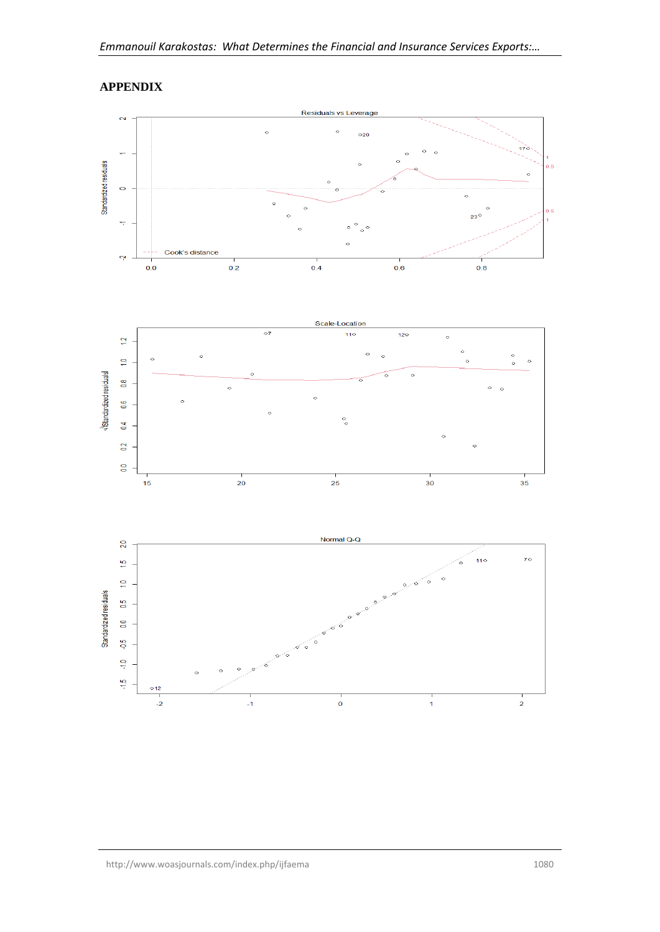

# **APPENDIX**